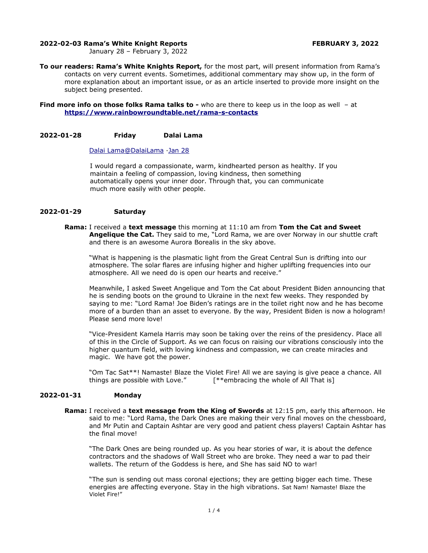### **2022-02-03 Rama's White Knight Reports FEBRUARY 3, 2022**

January 28 – February 3, 2022

**To our readers: Rama's White Knights Report,** for the most part, will present information from Rama's contacts on very current events. Sometimes, additional commentary may show up, in the form of more explanation about an important issue, or as an article inserted to provide more insight on the subject being presented.

#### **Find more info on those folks Rama talks to -** who are there to keep us in the loop as well - at **<https://www.rainbowroundtable.net/rama-s-contacts>**

## **2022-01-28 Friday Dalai Lama**

#### Dalai Lama@DalaiLama · [Jan 28](https://twitter.com/DalaiLama/status/1486996998020820994)

I would regard a compassionate, warm, kindhearted person as healthy. If you maintain a feeling of compassion, loving kindness, then something automatically opens your inner door. Through that, you can communicate much more easily with other people.

### **2022-01-29 Saturday**

**Rama:** I received a **text message** this morning at 11:10 am from **Tom the Cat and Sweet Angelique the Cat.** They said to me, "Lord Rama, we are over Norway in our shuttle craft and there is an awesome Aurora Borealis in the sky above.

"What is happening is the plasmatic light from the Great Central Sun is drifting into our atmosphere. The solar flares are infusing higher and higher uplifting frequencies into our atmosphere. All we need do is open our hearts and receive."

Meanwhile, I asked Sweet Angelique and Tom the Cat about President Biden announcing that he is sending boots on the ground to Ukraine in the next few weeks. They responded by saying to me: "Lord Rama! Joe Biden's ratings are in the toilet right now and he has become more of a burden than an asset to everyone. By the way, President Biden is now a hologram! Please send more love!

"Vice-President Kamela Harris may soon be taking over the reins of the presidency. Place all of this in the Circle of Support. As we can focus on raising our vibrations consciously into the higher quantum field, with loving kindness and compassion, we can create miracles and magic. We have got the power.

"Om Tac Sat\*\*! Namaste! Blaze the Violet Fire! All we are saying is give peace a chance. All things are possible with Love." [\*\*embracing the whole of All That is]

## **2022-01-31 Monday**

**Rama:** I received a **text message from the King of Swords** at 12:15 pm, early this afternoon. He said to me: "Lord Rama, the Dark Ones are making their very final moves on the chessboard, and Mr Putin and Captain Ashtar are very good and patient chess players! Captain Ashtar has the final move!

"The Dark Ones are being rounded up. As you hear stories of war, it is about the defence contractors and the shadows of Wall Street who are broke. They need a war to pad their wallets. The return of the Goddess is here, and She has said NO to war!

"The sun is sending out mass coronal ejections; they are getting bigger each time. These energies are affecting everyone. Stay in the high vibrations. Sat Nam! Namaste! Blaze the Violet Fire!"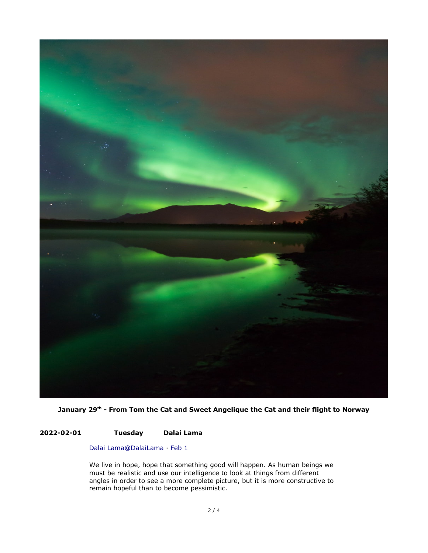

**January 29th - From Tom the Cat and Sweet Angelique the Cat and their flight to Norway**

## **2022-02-01 Tuesday Dalai Lama**

# Dalai [Lama@DalaiLama](mailto:Lama@DalaiLama) · [Feb 1](https://twitter.com/DalaiLama/status/1488444594987491334)

We live in hope, hope that something good will happen. As human beings we must be realistic and use our intelligence to look at things from different angles in order to see a more complete picture, but it is more constructive to remain hopeful than to become pessimistic.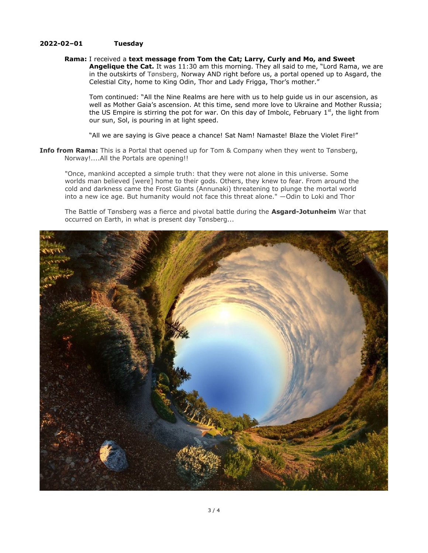## **2022-02–01 Tuesday**

## **Rama:** I received a **text message from Tom the Cat; Larry, Curly and Mo, and Sweet**

**Angelique the Cat.** It was 11:30 am this morning. They all said to me, "Lord Rama, we are in the outskirts of Tønsberg, Norway AND right before us, a portal opened up to Asgard, the Celestial City, home to King Odin, Thor and Lady Frigga, Thor's mother."

Tom continued: "All the Nine Realms are here with us to help guide us in our ascension, as well as Mother Gaia's ascension. At this time, send more love to Ukraine and Mother Russia; the US Empire is stirring the pot for war. On this day of Imbolc, February  $1<sup>st</sup>$ , the light from our sun, Sol, is pouring in at light speed.

"All we are saying is Give peace a chance! Sat Nam! Namaste! Blaze the Violet Fire!"

**Info from Rama:** This is a Portal that opened up for Tom & Company when they went to Tønsberg, Norway!....All the Portals are opening!!

"Once, mankind accepted a simple truth: that they were not alone in this universe. Some worlds man believed [were] home to their gods. Others, they knew to fear. From around the cold and darkness came the Frost Giants (Annunaki) threatening to plunge the mortal world into a new ice age. But humanity would not face this threat alone." ―Odin to Loki and Thor

The Battle of Tønsberg was a fierce and pivotal battle during the **Asgard-Jotunheim** War that occurred on Earth, in what is present day Tønsberg...